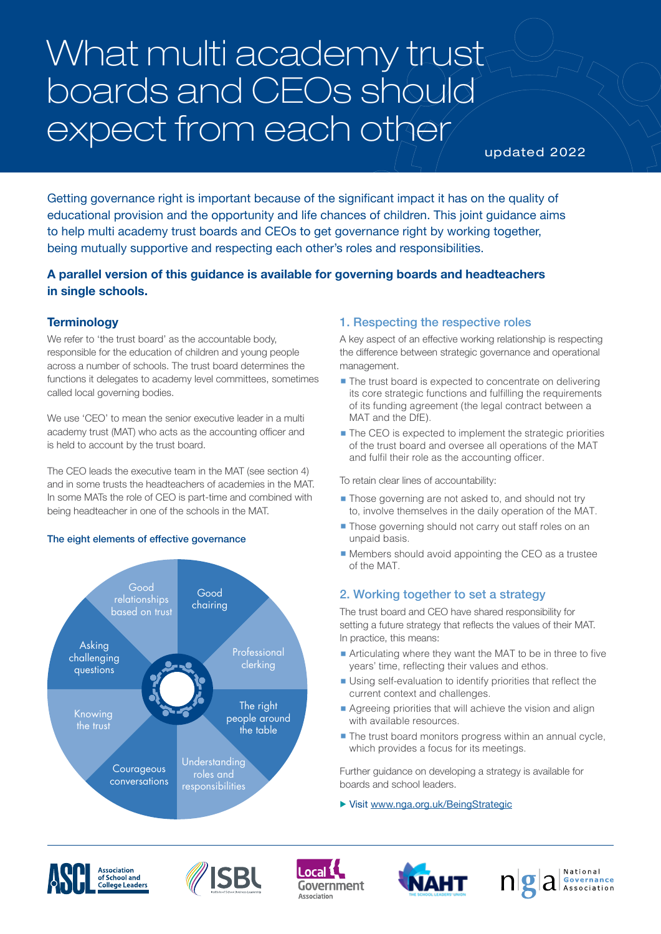# What multi academy trust boards and CEOs should expect from each other

updated 2022

Getting governance right is important because of the significant impact it has on the quality of educational provision and the opportunity and life chances of children. This joint guidance aims to help multi academy trust boards and CEOs to get governance right by working together, being mutually supportive and respecting each other's roles and responsibilities.

# **A parallel version of this guidance is available for governing boards and headteachers in single schools.**

# **Terminology**

We refer to 'the trust board' as the accountable body, responsible for the education of children and young people across a number of schools. The trust board determines the functions it delegates to academy level committees, sometimes called local governing bodies.

We use 'CEO' to mean the senior executive leader in a multi academy trust (MAT) who acts as the accounting officer and is held to account by the trust board.

The CEO leads the executive team in the MAT (see section 4) and in some trusts the headteachers of academies in the MAT. In some MATs the role of CEO is part-time and combined with being headteacher in one of the schools in the MAT.

## The eight elements of effective governance



## 1. Respecting the respective roles

A key aspect of an effective working relationship is respecting the difference between strategic governance and operational management.

- The trust board is expected to concentrate on delivering its core strategic functions and fulfilling the requirements of its funding agreement (the legal contract between a MAT and the DfE).
- The CEO is expected to implement the strategic priorities of the trust board and oversee all operations of the MAT and fulfil their role as the accounting officer.

To retain clear lines of accountability:

- Those governing are not asked to, and should not try to, involve themselves in the daily operation of the MAT.
- Those governing should not carry out staff roles on an unpaid basis.
- Members should avoid appointing the CEO as a trustee of the MAT.

# 2. Working together to set a strategy

The trust board and CEO have shared responsibility for setting a future strategy that reflects the values of their MAT. In practice, this means:

- Articulating where they want the MAT to be in three to five years' time, reflecting their values and ethos.
- Using self-evaluation to identify priorities that reflect the current context and challenges.
- $\blacksquare$  Agreeing priorities that will achieve the vision and align with available resources.
- $\blacksquare$  The trust board monitors progress within an annual cycle, which provides a focus for its meetings.

Further guidance on developing a strategy is available for boards and school leaders.

▶ Visit [www.nga.org.uk/BeingStrategic](https://www.nga.org.uk/Knowledge-Centre/Vision-ethos-and-strategic-direction/Being-Strategic-A-guide-for-governing-boards.aspx)









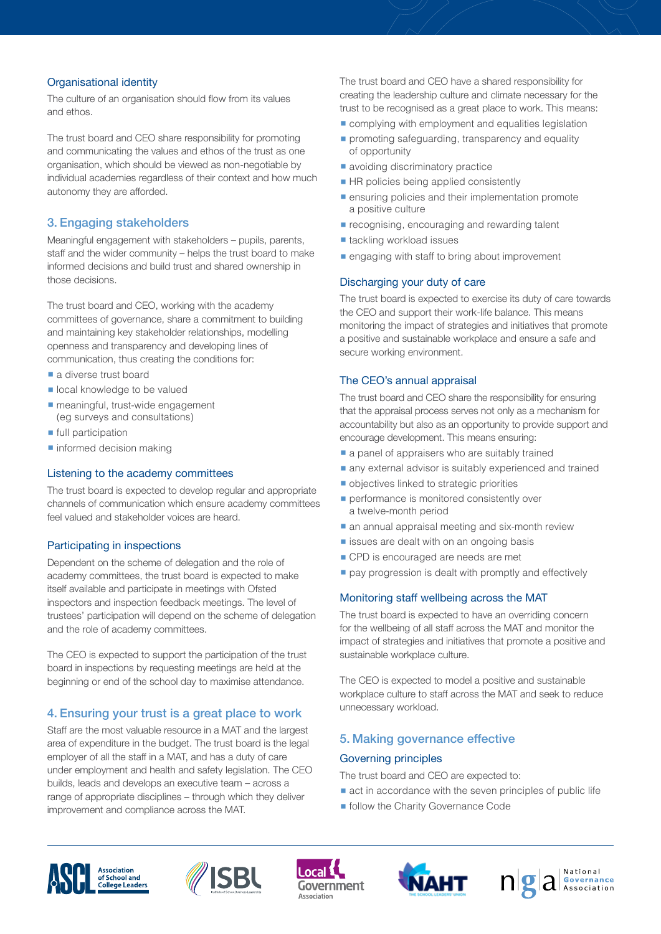### Organisational identity

The culture of an organisation should flow from its values and ethos.

The trust board and CEO share responsibility for promoting and communicating the values and ethos of the trust as one organisation, which should be viewed as non-negotiable by individual academies regardless of their context and how much autonomy they are afforded.

## 3. Engaging stakeholders

Meaningful engagement with stakeholders – pupils, parents, staff and the wider community – helps the trust board to make informed decisions and build trust and shared ownership in those decisions.

The trust board and CEO, working with the academy committees of governance, share a commitment to building and maintaining key stakeholder relationships, modelling openness and transparency and developing lines of communication, thus creating the conditions for:

- a diverse trust board
- $\blacksquare$  local knowledge to be valued
- $\blacksquare$  meaningful, trust-wide engagement (eg surveys and consultations)
- $\blacksquare$  full participation
- informed decision making

#### Listening to the academy committees

The trust board is expected to develop regular and appropriate channels of communication which ensure academy committees feel valued and stakeholder voices are heard.

#### Participating in inspections

Dependent on the scheme of delegation and the role of academy committees, the trust board is expected to make itself available and participate in meetings with Ofsted inspectors and inspection feedback meetings. The level of trustees' participation will depend on the scheme of delegation and the role of academy committees.

The CEO is expected to support the participation of the trust board in inspections by requesting meetings are held at the beginning or end of the school day to maximise attendance.

## 4. Ensuring your trust is a great place to work

Staff are the most valuable resource in a MAT and the largest area of expenditure in the budget. The trust board is the legal employer of all the staff in a MAT, and has a duty of care under employment and health and safety legislation. The CEO builds, leads and develops an executive team – across a range of appropriate disciplines – through which they deliver improvement and compliance across the MAT.

The trust board and CEO have a shared responsibility for creating the leadership culture and climate necessary for the trust to be recognised as a great place to work. This means:

- complying with employment and equalities legislation
- **•** promoting safeguarding, transparency and equality of opportunity
- avoiding discriminatory practice
- HR policies being applied consistently
- ensuring policies and their implementation promote a positive culture
- $\blacksquare$  recognising, encouraging and rewarding talent
- tackling workload issues
- $\blacksquare$  engaging with staff to bring about improvement

#### Discharging your duty of care

The trust board is expected to exercise its duty of care towards the CEO and support their work-life balance. This means monitoring the impact of strategies and initiatives that promote a positive and sustainable workplace and ensure a safe and secure working environment.

#### The CEO's annual appraisal

The trust board and CEO share the responsibility for ensuring that the appraisal process serves not only as a mechanism for accountability but also as an opportunity to provide support and encourage development. This means ensuring:

- a panel of appraisers who are suitably trained
- any external advisor is suitably experienced and trained
- **•** objectives linked to strategic priorities
- $\blacksquare$  performance is monitored consistently over a twelve-month period
- $\blacksquare$  an annual appraisal meeting and six-month review
- $\blacksquare$  issues are dealt with on an ongoing basis
- CPD is encouraged are needs are met
- $\blacksquare$  pay progression is dealt with promptly and effectively

#### Monitoring staff wellbeing across the MAT

The trust board is expected to have an overriding concern for the wellbeing of all staff across the MAT and monitor the impact of strategies and initiatives that promote a positive and sustainable workplace culture.

The CEO is expected to model a positive and sustainable workplace culture to staff across the MAT and seek to reduce unnecessary workload.

#### 5. Making governance effective

#### Governing principles

The trust board and CEO are expected to:

- $\blacksquare$  act in accordance with the seven principles of public life
- **follow the Charity Governance Code**